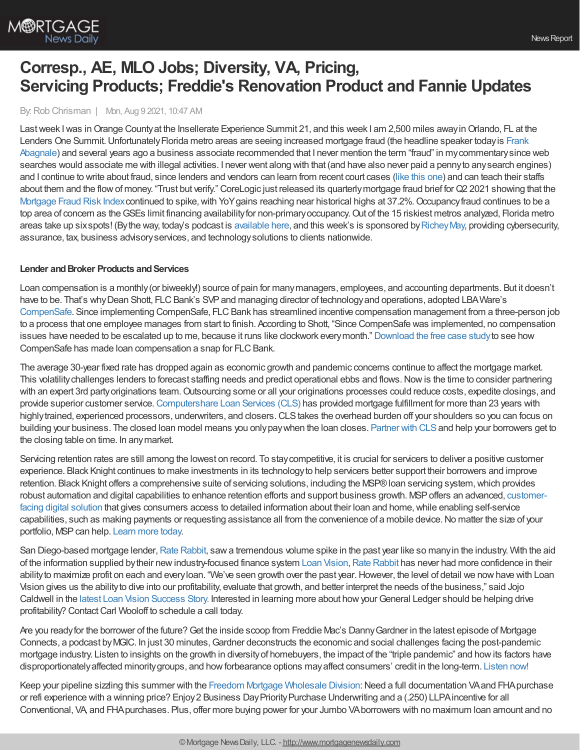By:Rob Chrisman | Mon, Aug 9 2021, 10:47 AM

Last week I was in Orange County at the Insellerate Experience Summit 21, and this week I am 2,500 miles away in Orlando, FL at the Lenders One Summit. Unfortunately Florida metro areas are seeing increased mortgage fraud (the headline speaker today is Frank Abagnale) and several years ago a business associate recommended that I never mention the term "fraud" in mycommentarysince web searches would associate me with illegal activities. I never went along with that (and have also never paid a pennyto anysearch engines) and I continue to write about fraud, since lenders and vendors can learn from recent court cases (like this [one](https://goldrushcam.com/sierrasuntimes/index.php/news/california/31765-in-california-a-jury-convicts-leader-of-nevada-city-based-mortgage-fraud-scheme-enrolled-homeowners-as-members-in-a-church-named-shon-te-east-a-walks-with-spirit-or-its-successor-entity-pillow-foundation)) and can teach their staffs about them and the flow of money. "Trust but verify." CoreLogic just released its quarterly mortgage fraud brief for Q2 2021 showing that the [Mortgage](https://www.corelogic.com/intelligence/q2-2021-quarterly-mortgage-fraud-brief/) Fraud Risk Index continued to spike, with YoY gains reaching near historical highs at 37.2%. Occupancy fraud continues to be a top area of concern as theGSEs limit financing availabilityfor non-primaryoccupancy.Out of the 15 riskiest metros analyzed, Florida metro areas take up sixspots! (By the way, today's podcast is [available](https://linktr.ee/dailymortgagenews) here, and this week's is sponsored by Richey May, providing cybersecurity, assurance, tax, business advisoryservices, and technologysolutions to clients nationwide.

## **Lender** and **Broker Products** and **Services**

Loan compensation is a monthly (or biweekly!) source of pain for many managers, employees, and accounting departments. But it doesn't have to be. That's why Dean Shott, FLC Bank's SVP and managing director of technology and operations, adopted LBAWare's [CompenSafe.](https://bit.ly/2X2ndch) Since implementing CompenSafe, FLC Bank has streamlined incentive compensation management from a three-person job to a process that one employee manages from start to finish. According to Shott, "Since CompenSafe was implemented, no compensation issues have needed to be escalated up to me, because it runs like clockwork everymonth." [Download](https://bit.ly/3Adt3pn) the free case studyto see how CompenSafe has made loan compensation a snap for FLC Bank.

The average 30-year fixed rate has dropped again as economic growth and pandemic concerns continue to affect the mortgage market. This volatility challenges lenders to forecast staffing needs and predict operational ebbs and flows. Now is the time to consider partnering with an expert 3rd party originations team. Outsourcing some or all your originations processes could reduce costs, expedite closings, and provide superior customer service.[Computershare](https://www.computershareloanservices.com/us/business/fulfillment/overview?utm_source=eNews&utm_medium=blog&utm_campaign=fulfillment_August&utm_id=Chrisman) Loan Services (CLS) has provided mortgage fulfillment for more than 23 years with highly trained, experienced processors, underwriters, and closers. CLS takes the overhead burden off your shoulders so you can focus on building your business. The closed loan model means you onlypaywhen the loan closes. [Partner](https://www.computershareloanservices.com/us/business/fulfillment/overview?utm_source=eNews&utm_medium=blog&utm_campaign=fulfillment_August&utm_id=Chrisman) with CLSand help your borrowers get to the closing table on time. In anymarket.

Servicing retention rates are still among the lowest on record. To stay competitive, it is crucial for servicers to deliver a positive customer experience. Black Knight continues to make investments in its technologyto help servicers better support their borrowers and improve retention. Black Knight offers a comprehensive suite of servicing solutions, including the MSP® loan servicing system, which provides robust automation and digital capabilities to enhance retention efforts and support business growth. MSPoffers an advanced, customerfacing digital solution that gives consumers access to detailed information about their loan and home, while enabling self-service capabilities, such as making payments or requesting assistance all from the convenience of a mobile device.No matter the size of your portfolio, MSP can help. [Learn](https://www.blackknightinc.com/markets-we-serve/mortgage/loan-servicing/msp/loan-servicing-msp-customer-experience-lp/?utm_source=chrisman-newsletter&utm_medium=paid-referral&utm_campaign=ST_NA_MSP_All-Inclusive&utm_content=text-ad) more today.

San Diego-based mortgage lender, Rate [Rabbit,](https://www.raterabbit.com/) saw a tremendous volume spike in the past year like so many in the industry. With the aid of the information supplied by their new industry-focused finance system Loan [Vision,](https://loan-vision.com/) Rate [Rabbit](https://www.raterabbit.com/) has never had more confidence in their ability to maximize profit on each and every loan. "We've seen growth over the past year. However, the level of detail we now have with Loan Vision gives us the abilityto dive into our profitability, evaluate that growth, and better interpret the needs of the business," said Jojo Caldwell in the latest Loan Vision [Success](https://loan-vision.com/resources/case-study/rate-rabbit-masters-daily-operations-with-loan-vision/) Story. Interested in learning more about how your General Ledger should be helping drive profitability? Contact Carl Wooloff to schedule a call today.

Are you ready for the borrower of the future? Get the inside scoop from Freddie Mac's Danny Gardner in the latest episode of Mortgage Connects, a podcast by MGIC. In just 30 minutes, Gardner deconstructs the economic and social challenges facing the post-pandemic mortgage industry. Listen to insights on the growth in diversityof homebuyers, the impact of the "triple pandemic" and howits factors have disproportionately affected minority groups, and how forbearance options may affect consumers' credit in the long-term. [Listen](https://www.mgic.com/blog/mortgage-connects-podcast/deconstructing-economic-social-challenges-post-pandemic-episode-8?utm_source=rc&utm_medium=ppc&utm_campaign=mortgage-connects&utm_content=text-email-gardner) now!

Keep your pipeline sizzling this summer with the Freedom Mortgage [Wholesale](https://www.freedomwholesale.com/wps/portal/wholesale) Division: Need a full documentation VA and FHA purchase or refi experience with a winning price? Enjoy 2 Business Day Priority Purchase Underwriting and a (.250) LLPA incentive for all Conventional, VA, and FHApurchases. Plus, offer more buying power for your Jumbo VAborrowers with no maximum loan amount and no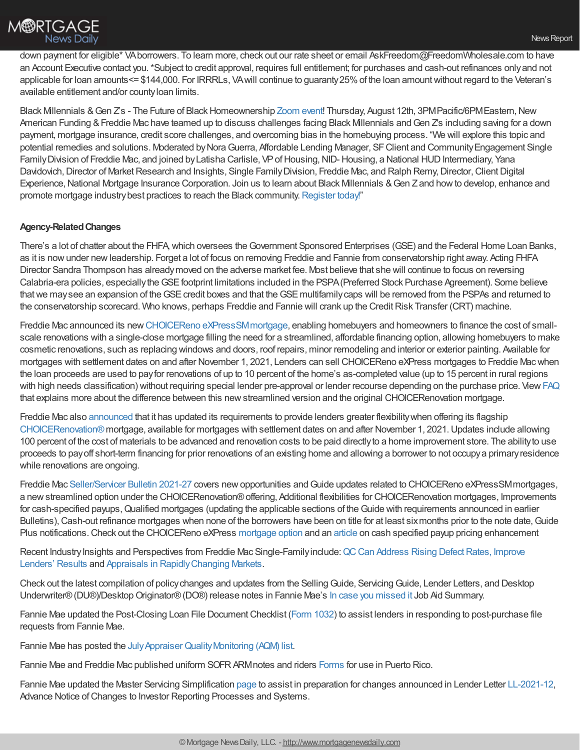

down payment for eligible\* VAborrowers. To learn more, check out our rate sheet or email AskFreedom@FreedomWholesale.com to have an Account Executive contact you.\*Subject to credit approval, requires full entitlement; for purchases and cash-out refinances onlyand not applicable for loan amounts<= \$144,000. For IRRRLs, VAwill continue to guaranty25%of the loan amountwithout regard to the Veteran's available entitlement and/or countyloan limits.

Black Millennials & Gen Z's - The Future of Black Homeownership [Zoom](https://zoom.us/webinar/register/1416282806811/WN_9EIZ_FKAQ0KovTk1CgYc8g) event! Thursday, August 12th, 3PM Pacific/6PM Eastern, New American Funding & Freddie Mac have teamed up to discuss challenges facing Black Millennials and Gen Z's including saving for a down payment, mortgage insurance, credit score challenges, and overcoming bias in the homebuying process. "We will explore this topic and potential remedies and solutions. Moderated by Nora Guerra, Affordable Lending Manager, SF Client and Community Engagement Single Family Division of Freddie Mac, and joined by Latisha Carlisle, VP of Housing, NID-Housing, a National HUD Intermediary, Yana Davidovich, Director of Market Research and Insights, Single Family Division, Freddie Mac, and Ralph Remy, Director, Client Digital Experience, National Mortgage Insurance Corporation. Join us to learn about Black Millennials & Gen Z and how to develop, enhance and promote mortgage industry best practices to reach the Black community. [Register](https://zoom.us/webinar/register/1416282806811/WN_9EIZ_FKAQ0KovTk1CgYc8g) today!"

## **Agency-RelatedChanges**

There's a lot of chatter about the FHFA,which oversees theGovernment Sponsored Enterprises (GSE) and the Federal Home Loan Banks, as it is nowunder newleadership. Forget a lot of focus on removing Freddie and Fannie from conservatorship right away. Acting FHFA Director Sandra Thompson has alreadymoved on the adverse market fee. Most believe that she will continue to focus on reversing Calabria-era policies, especiallytheGSEfootprint limitations included in the PSPA(Preferred Stock Purchase Agreement). Some believe that we may see an expansion of the GSE credit boxes and that the GSE multifamily caps will be removed from the PSPAs and returned to the conservatorship scorecard. Who knows, perhaps Freddie and Fannie will crank up the Credit Risk Transfer (CRT) machine.

Freddie Mac announced its new CHOICEReno eXPressSM mortgage, enabling homebuyers and homeowners to finance the cost of smallscale renovations with a single-close mortgage filling the need for a streamlined, affordable financing option, allowing homebuyers to make cosmetic renovations, such as replacing windows and doors, roof repairs, minor remodeling and interior or exterior painting. Available for mortgages with settlement dates on and after November 1, 2021, Lenders can sell CHOICEReno eXPress mortgages to Freddie Macwhen the loan proceeds are used to payfor renovations of up to 10 percent of the home's as-completed value (up to 15 percent in rural regions with high needs classification) without requiring special lender pre-approval or lender recourse depending on the purchase price. View [FAQ](https://na01.safelinks.protection.outlook.com/?url=https%253A%252F%252Fsf.freddiemac.com%252Ffaqs%252Fchoicereno-express-faq&data=04%257C01%257C%257Cb94a0a2b377f4e7d8df108d9583819e8%257C84df9e7fe9f640afb435aaaaaaaaaaaa%257C1%257C0%257C637637953476340081%257CUnknown%257CTWFpbGZsb3d8eyJWIjoiMC4wLjAwMDAiLCJQIjoiV2luMzIiLCJBTiI6Ik1haWwiLCJXVCI6Mn0%253D%257C1000&sdata=btovmDA36tS%252BInJmllIkf0l2UpYFEeS%252BR5HassPA%252Fyo%253D&reserved=0) that explains more about the difference between this newstreamlined version and the original CHOICERenovation mortgage.

Freddie Mac also [announced](https://na01.safelinks.protection.outlook.com/?url=http%253A%252F%252Furl9490.notification.gcs-web.com%252Fls%252Fclick%253Fupn%253D9MMhW7V5y3oO-2BrZj6t6PivvMMRbGOVbBO7pBFGA3k14fbkw8RStzf0cjFz-2F2gmFt-2Fjf4uE-2BoFs8aN9qyL6DWTA-3D-3D4q_-_nsxRNYUkMXYB3IyH-2Bw28TYELoM9YpzOtXrrlppkfzFjGpZbwd0bLMcf2RIKlkpDjkjTiibJkvBF-2B2CEWvhBayaJNimWf2JoMdz9UGvqKpIgDuYEO-2BUv9Yiee-2FfaCeY7ngf9jhEpxULEnFrouBLRoW5D-2F5HuZgFkGCxUQB54pYexQ7tqpek3KWQ-2FkaE5otDiomw-2FCIL-2BXrqXsV2gpiWm6HyRlC3VQZU3mxM7MRCobMftGm05-2BCygngak2vw0aIdCwhJV0s9rvSEKUFQcyf49mWA-3D-3D&data=04%257C01%257C%257Cdab0d725c93143640a9508d9581399f3%257C84df9e7fe9f640afb435aaaaaaaaaaaa%257C1%257C0%257C637637955476697724%257CUnknown%257CTWFpbGZsb3d8eyJWIjoiMC4wLjAwMDAiLCJQIjoiV2luMzIiLCJBTiI6Ik1haWwiLCJXVCI6Mn0%253D%257C1000&sdata=7LNNd%252Bo5nzALgvf%252B2Hre0GoaIQ6FlLT6a5nlHWZL37Y%253D&reserved=0) that it has updated its requirements to provide lenders greater flexibilitywhen offering its flagship [CHOICERenovation](https://na01.safelinks.protection.outlook.com/?url=http%253A%252F%252Furl9490.notification.gcs-web.com%252Fls%252Fclick%253Fupn%253D9MMhW7V5y3oO-2BrZj6t6Pios3Bflj9ZSvLOGd27IGSkrbrJwMtNFZa1lAl4EawNWWfdCl9YjxR-2BqqDJpO92XLP3vzyzlLA2z9U8nx8yTebNYnR-2B2BBsYnECaRZqrfU5CTRz0hjnxczKHfGUL7WKVHBQ-3D-3DrhOn_nsxRNYUkMXYB3IyH-2Bw28TYELoM9YpzOtXrrlppkfzFjGpZbwd0bLMcf2RIKlkpDjkjTiibJkvBF-2B2CEWvhBayaJNimWf2JoMdz9UGvqKpIgDuYEO-2BUv9Yiee-2FfaCeY7nFu-2F9y3yW8kplenuhTAUSC6WoiI0H9-2FaYyZwCMzyQ7evY2K4hzicfMBgOp2hiwMXRogqC9tAPar4hrionhfLXXCTLoQGSMc1RShqVewzztBtieIl0m919oZxoU1EACiEy0NQp1cxkUIcalPbkMgBBjA-3D-3D&data=04%257C01%257C%257Cdab0d725c93143640a9508d9581399f3%257C84df9e7fe9f640afb435aaaaaaaaaaaa%257C1%257C0%257C637637955476707721%257CUnknown%257CTWFpbGZsb3d8eyJWIjoiMC4wLjAwMDAiLCJQIjoiV2luMzIiLCJBTiI6Ik1haWwiLCJXVCI6Mn0%253D%257C1000&sdata=KqREYGD2FQl9nlpGal1W3J7DQou7xuzvrAwGArbHOUU%253D&reserved=0)[®](https://na01.safelinks.protection.outlook.com/?url=http%253A%252F%252Furl9490.notification.gcs-web.com%252Fls%252Fclick%253Fupn%253D9MMhW7V5y3oO-2BrZj6t6Pios3Bflj9ZSvLOGd27IGSkrbrJwMtNFZa1lAl4EawNWWfdCl9YjxR-2BqqDJpO92XLP3vzyzlLA2z9U8nx8yTebNYnR-2B2BBsYnECaRZqrfU5CTRz0hjnxczKHfGUL7WKVHBQ-3D-3DaNOF_nsxRNYUkMXYB3IyH-2Bw28TYELoM9YpzOtXrrlppkfzFjGpZbwd0bLMcf2RIKlkpDjkjTiibJkvBF-2B2CEWvhBayaJNimWf2JoMdz9UGvqKpIgDuYEO-2BUv9Yiee-2FfaCeY7nGVIIfZfa61TfP-2BGneA6MhUhhON5DQXucWkWD-2BdAwpVtNz8Y6Q1-2B9t-2BTh-2F1LPL3wCbCxjH3CMVc3Nd3dZTisSELHrOZl3swJgIP0zHRXVnxmfESJyOuF4mbXau-2Fx6o-2FpWNTy0H3lsFGfrFkGwps0v4w-3D-3D&data=04%257C01%257C%257Cdab0d725c93143640a9508d9581399f3%257C84df9e7fe9f640afb435aaaaaaaaaaaa%257C1%257C0%257C637637955476717714%257CUnknown%257CTWFpbGZsb3d8eyJWIjoiMC4wLjAwMDAiLCJQIjoiV2luMzIiLCJBTiI6Ik1haWwiLCJXVCI6Mn0%253D%257C1000&sdata=RhJGcuefIZ4GnB09ds6emTT59STHtFeDPW%252Fal0b8ozQ%253D&reserved=0)mortgage, available for mortgages with settlement dates on and after November 1, 2021.Updates include allowing 100 percent of the cost of materials to be advanced and renovation costs to be paid directlyto a home improvement store. The abilityto use proceeds to payoff short-term financing for prior renovations of an existing home and allowing a borrower to not occupya primaryresidence while renovations are ongoing.

Freddie Mac [Seller/Servicer](https://guide.freddiemac.com/app/guide/bulletin/2021-27?utm_source=eloqua&utm_medium=email&utm_campaign=2021-08-04_POLICY_Guide-Policy) Bulletin 2021-27 covers new opportunities and Guide updates related to CHOICEReno eXPressSM mortgages, a newstreamlined option under the CHOICERenovation®offering, Additional flexibilities for CHOICERenovation mortgages, Improvements for cash-specified payups, Qualified mortgages (updating the applicable sections of the Guide with requirements announced in earlier Bulletins), Cash-out refinance mortgages when none of the borrowers have been on title for at least sixmonths prior to the note date, Guide Plus notifications. Check out the CHOICEReno eXPress [mortgage](https://na01.safelinks.protection.outlook.com/?url=http%253A%252F%252Fapp.infofreddiemac.com%252Fe%252Fer%253Fs%253D325135053%2526lid%253D11160%2526elqTrackId%253DD7A5D36D5520D964F820F574F5817441%2526elq%253D228804702c9f4e2cbfe5ca5ce4d53f50%2526elqaid%253D10357%2526elqat%253D1&data=04%257C01%257C%257Cc76657aed74b433e6d8808d958239bd0%257C84df9e7fe9f640afb435aaaaaaaaaaaa%257C1%257C0%257C637637950547347780%257CUnknown%257CTWFpbGZsb3d8eyJWIjoiMC4wLjAwMDAiLCJQIjoiV2luMzIiLCJBTiI6Ik1haWwiLCJXVCI6Mn0%253D%257C1000&sdata=qOA4EJCu%252FFKteLfRTlnO%252BJffIwOjxMKY%252BiV6q1cx4lk%253D&reserved=0) option and an [article](https://na01.safelinks.protection.outlook.com/?url=http%253A%252F%252Fapp.infofreddiemac.com%252Fe%252Fer%253Fs%253D325135053%2526lid%253D11161%2526elqTrackId%253D6AD269FA83022F9E0EFE9F28F307B790%2526elq%253D228804702c9f4e2cbfe5ca5ce4d53f50%2526elqaid%253D10357%2526elqat%253D1&data=04%257C01%257C%257Cc76657aed74b433e6d8808d958239bd0%257C84df9e7fe9f640afb435aaaaaaaaaaaa%257C1%257C0%257C637637950547357775%257CUnknown%257CTWFpbGZsb3d8eyJWIjoiMC4wLjAwMDAiLCJQIjoiV2luMzIiLCJBTiI6Ik1haWwiLCJXVCI6Mn0%253D%257C1000&sdata=iwPdKXYhCZZUlNDueA6sVlIFsjwkPFF4GTJuBr3%252BupY%253D&reserved=0) on cash specified payup pricing enhancement

Recent Industry Insights and Perspectives from Freddie Mac Single-Family include: QC Can Address Rising Defect Rates, Improve Lenders' Results and Appraisals in [RapidlyChanging](https://na01.safelinks.protection.outlook.com/?url=http%253A%252F%252Fapp.infofreddiemac.com%252Fe%252Fer%253Fs%253D325135053%2526lid%253D11187%2526elqTrackId%253DB9F6420EC2F346E34C300185E435C531%2526elq%253D228804702c9f4e2cbfe5ca5ce4d53f50%2526elqaid%253D10357%2526elqat%253D1&data=04%257C01%257C%257Cc76657aed74b433e6d8808d958239bd0%257C84df9e7fe9f640afb435aaaaaaaaaaaa%257C1%257C0%257C637637950547367766%257CUnknown%257CTWFpbGZsb3d8eyJWIjoiMC4wLjAwMDAiLCJQIjoiV2luMzIiLCJBTiI6Ik1haWwiLCJXVCI6Mn0%253D%257C1000&sdata=923tV6b6rT0th9KDUZ0xoAd8lDx1Rw3I9eWD5FHY4U0%253D&reserved=0) Markets.

Check out the latest compilation of policychanges and updates from the SellingGuide, ServicingGuide, Lender Letters, and Desktop Underwriter®(DU®)/DesktopOriginator®(DO®) release notes in Fannie Mae's In case you [missed](https://singlefamily.fanniemae.com/media/25091/display) it Job Aid Summary.

Fannie Mae updated the Post-Closing Loan File Document Checklist ([Form](https://singlefamily.fanniemae.com/selling-servicing-guide-forms) 1032) to assist lenders in responding to post-purchase file requests from Fannie Mae.

Fannie Mae has posted the July Appraiser Quality Monitoring (AQM) list.

Fannie Mae and Freddie Mac published uniform SOFRARMnotes and riders [Forms](https://singlefamily.fanniemae.com/fannie-mae-legal-documents?utm_campaign=ppe-sf-ssn2021&utm_source=sfmc&utm_medium=email&utm_content=edu-eml-noa-eml07282021%20SSN-o-n&utm_term=b2b) for use in Puerto Rico.

Fannie Mae updated the Master Servicing Simplification [page](https://singlefamily.fanniemae.com/servicing/master-servicing-simplification-changes?utm_campaign=ppe-sf-ssn2021&utm_source=sfmc&utm_medium=email&utm_content=edu-eml-noa-eml07282021%20SSN-o-n&utm_term=b2b) to assist in preparation for changes announced in Lender Letter [LL-2021-12](https://singlefamily.fanniemae.com/media/26096/display), Advance Notice of Changes to Investor Reporting Processes and Systems.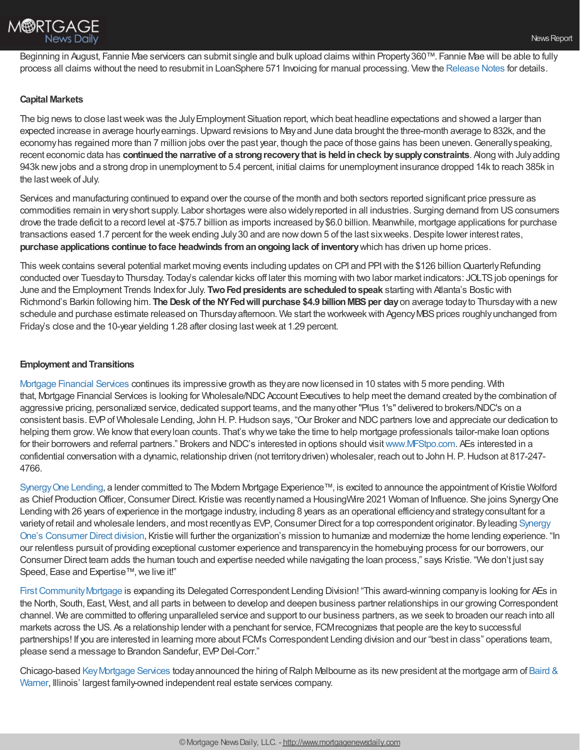Beginning in August, Fannie Mae servicers can submit single and bulk upload claims within Property 360™. Fannie Mae will be able to fully process all claims without the need to resubmit in LoanSphere 571 Invoicing for manual processing. Viewthe [Release](https://singlefamily.fanniemae.com/media/28196/display) Notes for details.

## **Capital Markets**

The big news to close last week was the July Employment Situation report, which beat headline expectations and showed a larger than expected increase in average hourlyearnings.Upward revisions to Mayand June data brought the three-month average to 832k, and the economy has regained more than 7 million jobs over the past year, though the pace of those gains has been uneven. Generally speaking, recent economic data has **continuedthe narrative of a strongrecoverythat is heldincheck bysupplyconstraints**. Along with Julyadding 943k newjobs and a strong drop in unemployment to 5.4 percent, initial claims for unemployment insurance dropped 14k to reach 385k in the lastweek of July.

Services and manufacturing continued to expand over the course of the month and both sectors reported significant price pressure as commodities remain in veryshort supply. Labor shortages were also widelyreported in all industries. Surging demand from USconsumers drove the trade deficit to a record level at -\$75.7 billion as imports increased by\$6.0 billion. Meanwhile, mortgage applications for purchase transactions eased 1.7 percent for the week ending July30 and are nowdown 5 of the last sixweeks.Despite lower interest rates, **purchase applications continue toface headwinds fromanongoinglack of inventory**which has driven up home prices.

This week contains several potential market moving events including updates on CPI and PPI with the \$126 billion Quarterly Refunding conducted over Tuesdayto Thursday. Today's calendar kicks off later this morning with two labor market indicators: JOLTSjob openings for June and the Employment Trends Indexfor July. **TwoFedpresidents are scheduledtospeak** starting with Atlanta's Bosticwith Richmond's Barkin following him. **The Desk of the NYFedwill purchase \$4.9 billionMBSper day**on average todayto Thursdaywith a new schedule and purchase estimate released on Thursday afternoon. We start the workweek with Agency MBS prices roughly unchanged from Friday's close and the 10-year yielding 1.28 after closing lastweek at 1.29 percent.

## **Employment and Transitions**

[Mortgage](http://www.mfstpo.com/) Financial Services continues its impressive growth as theyare nowlicensed in 10 states with 5 more pending. With that, Mortgage Financial Services is looking for Wholesale/NDC Account Executives to help meet the demand created by the combination of aggressive pricing, personalized service, dedicated support teams, and the manyother "Plus 1's" delivered to brokers/NDC's on a consistent basis. EVP of Wholesale Lending, John H. P. Hudson says, "Our Broker and NDC partners love and appreciate our dedication to helping them grow. We know that every loan counts. That's why we take the time to help mortgage professionals tailor-make loan options for their borrowers and referral partners." Brokers and NDC's interested in options should visit [www.MFStpo.com.](http://www.mfstpo.com/) AEs interested in a confidential conversation with a dynamic, relationship driven (not territorydriven) wholesaler, reach out to John H. P.Hudson at 817-247- 4766.

[SynergyOne](https://s1l.com/) Lending, a lender committed to The Modern Mortgage Experience™, is excited to announce the appointment of Kristie Wolford as Chief Production Officer, Consumer Direct. Kristie was recently named a HousingWire 2021 Woman of Influence. She joins Synergy One Lending with 26 years of experience in the mortgage industry, including 8 years as an operational efficiencyand strategyconsultant for a variety of retail and wholesale lenders, and most recently as EVP, Consumer Direct for a top correspondent originator. By leading Synergy One's Consumer Direct division, Kristie will further the organization's mission to humanize and modernize the home lending experience. "In our relentless pursuit of providing exceptional customer experience and transparencyin the homebuying process for our borrowers, our Consumer Direct team adds the human touch and expertise needed while navigating the loan process," says Kristie. "We don't just say Speed, Ease and Expertise™, we live it!"

First Community Mortgage is expanding its Delegated Correspondent Lending Division! "This award-winning company is looking for AEs in the North, South, East, West, and all parts in between to develop and deepen business partner relationships in our growing Correspondent channel. We are committed to offering unparalleled service and support to our business partners, as we seek to broaden our reach into all markets across the US. As a relationship lender with a penchant for service, FCMrecognizes that people are the keyto successful partnerships! If you are interested in learning more about FCM's Correspondent Lending division and our "best in class" operations team, please send a message to Brandon Sandefur, EVP Del-Corr."

Chicago-based [KeyMortgage](https://www.mykeymortgage.com/) Services [todayannounced](http://www.bairdwarner.com/) the hiring ofRalph Melbourne as its newpresident at the mortgage arm of Baird & Warner, Illinois' largest family-owned independent real estate services company.